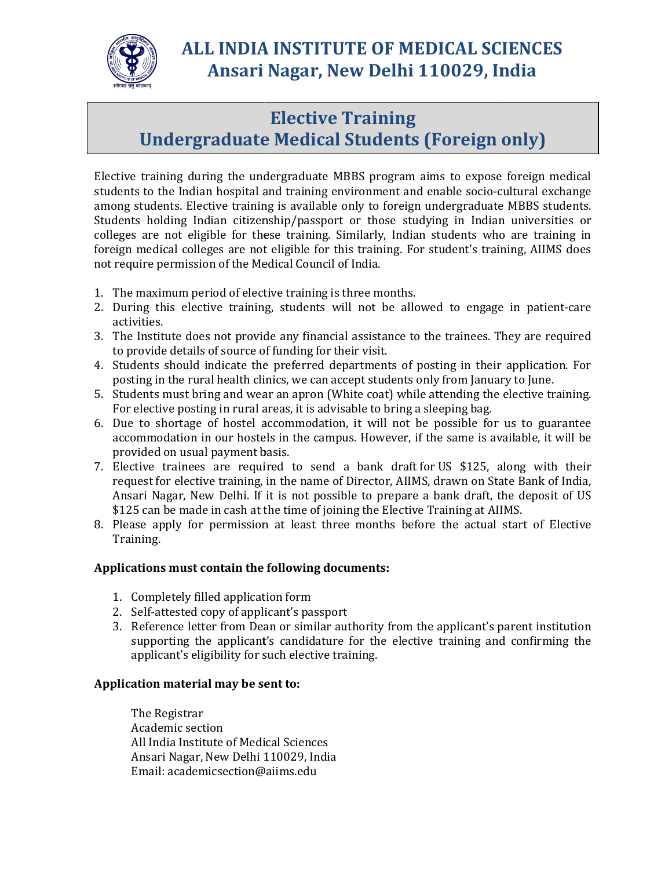

## ALL INDIA INSTITUTE OF MEDICAL SCIENCES ALL Ansari Nagar, New Delhi 110029, India New Delhi

## Undergraduate Medical Students (Foreign only)

Elective training during the undergraduate MBBS program aims to expose foreign medical students to the Indian hospital and training environment and enable socio-cultural exchange among students. Elective training is available only to foreign undergraduate MBBS students. Students holding Indian citizenship/passport or those studying in Indian univers colleges are not eligible for these training. Similarly, Indian students who are training in foreign medical colleges are not eligible for this training. For student's training, AIIMS does not require permission of the Medical Council of India. not require permission of the Medical Council of India.<br>1. The maximum period of elective training is three months. **Elective Training**<br> **Elective Training**<br> **Elective Compare 12**<br> **Elective training the undergraduate MBBS** program aims to exposite<br>
alterive training is available only to foreign undergraduate<br>
Indian citizenship/passpor luring the undergraduate MBBS program aims to expose foreign medical<br>lian hospital and training environment and enable socio-cultural exchange<br>lective training is available only to foreign undergraduate MBBS students.<br>Indi , Indian students who are training in<br>ing. For student's training, AIIMS does<br>onths.<br>be allowed to engage in patient-care

- 
- 2. During this elective training, students will not be allowed to engage in patient-care activities.
- 3. The Institute does not provide any financial assistance to the trainees. They are required to provide details of source of funding for their visit.
- 4. Students should indicate the preferred departments of posting in their application. For posting in the rural health clinics, we can accept students only from January to June to the trainees. They are required<br>f posting in their application. For<br>s only from January to June.<br>nile attending the elective training.
- 5. Students must bring and wear an apron (White coat) while attending the elective training. For elective posting in rural areas, it is advisable to bring a sleeping bag.
- 6. Due to shortage of hostel accommodation, it will not be possible for us to guarantee Due to shortage of hostel accommodation, it will not be possible for us to guarantee<br>accommodation in our hostels in the campus. However, if the same is available, it will be provided on usual payment basis.
- 7. Elective trainees are required to send a bank draft for US \$125, along with their request for elective training, in the name of Director, AIIMS, drawn on State Bank of India, request for elective training, in the name of Director, AIIMS, drawn on State Bank of India,<br>Ansari Nagar, New Delhi. If it is not possible to prepare a bank draft, the deposit of US \$125 can be made in cash at the time of joining the Elective Training at AIIMS.
- \$125 can be made in cash at the time of joining the Elective Training at AIIMS.<br>8. Please apply for permission at least three months before the actual start of Elective Training. 5 can be made in cash at the time of joining the Elective Training at AIIMS.<br>
15 can be made in cash at the time of joining the Elective Training at AIIMS.<br>
16 as a apply for permission at least three months before the act

## Applications must contain the following documents:

- 1. Completely filled application form
- 2. Self-attested copy of applicant's passport
- 3. Reference letter from Dean or similar authority from the applicant's parent institution supporting the applicant's candidature for the elective training and confirming the applicant's eligibility for such elective train supporting the applicant's candidature for the elective training and confirming the applicant's eligibility for such elective training

## Application material may be sent to:

The Registrar Academic section All India Institute of Medical Sciences Ansari Nagar, New Delhi 110029, India Email: academicsection@aiims.edu